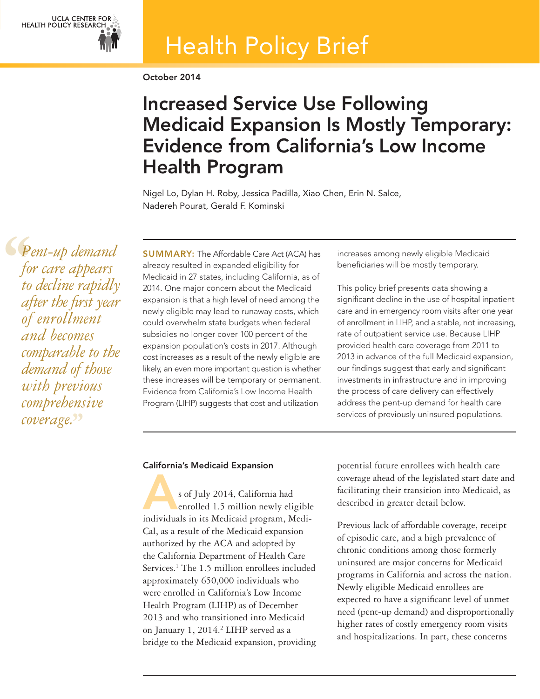

# Health Policy Brief

October 2014

# Increased Service Use Following Medicaid Expansion Is Mostly Temporary: Evidence from California's Low Income Health Program

Nigel Lo, Dylan H. Roby, Jessica Padilla, Xiao Chen, Erin N. Salce, Nadereh Pourat, Gerald F. Kominski

 $\left\{\begin{array}{c}\n\bullet \\
f_0 \\
\bullet \\
\bullet \\
\bullet \\
\bullet \\
\bullet\n\end{array}\right.$ *Pent-up demand for care appears to decline rapidly after the first year of enrollment and becomes comparable to the demand of those with previous comprehensive coverage.***''**

SUMMARY: The Affordable Care Act (ACA) has already resulted in expanded eligibility for Medicaid in 27 states, including California, as of 2014. One major concern about the Medicaid expansion is that a high level of need among the newly eligible may lead to runaway costs, which could overwhelm state budgets when federal subsidies no longer cover 100 percent of the expansion population's costs in 2017. Although cost increases as a result of the newly eligible are likely, an even more important question is whether these increases will be temporary or permanent. Evidence from California's Low Income Health Program (LIHP) suggests that cost and utilization

increases among newly eligible Medicaid beneficiaries will be mostly temporary.

This policy brief presents data showing a significant decline in the use of hospital inpatient care and in emergency room visits after one year of enrollment in LIHP, and a stable, not increasing, rate of outpatient service use. Because LIHP provided health care coverage from 2011 to 2013 in advance of the full Medicaid expansion, our findings suggest that early and significant investments in infrastructure and in improving the process of care delivery can effectively address the pent-up demand for health care services of previously uninsured populations.

## California's Medicaid Expansion

s of July 2014, California had enrolled 1.5 million newly eligible individuals in its Medicaid program, Medi-Cal, as a result of the Medicaid expansion authorized by the ACA and adopted by the California Department of Health Care Services.<sup>1</sup> The 1.5 million enrollees included approximately 650,000 individuals who were enrolled in California's Low Income Health Program (LIHP) as of December 2013 and who transitioned into Medicaid on January 1, 2014.<sup>2</sup> LIHP served as a bridge to the Medicaid expansion, providing

potential future enrollees with health care coverage ahead of the legislated start date and facilitating their transition into Medicaid, as described in greater detail below.

Previous lack of affordable coverage, receipt of episodic care, and a high prevalence of chronic conditions among those formerly uninsured are major concerns for Medicaid programs in California and across the nation. Newly eligible Medicaid enrollees are expected to have a significant level of unmet need (pent-up demand) and disproportionally higher rates of costly emergency room visits and hospitalizations. In part, these concerns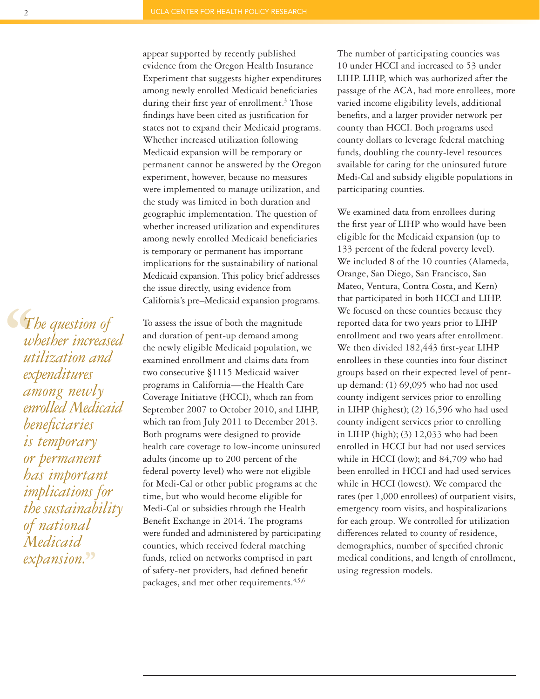$\begin{align} \mathcal{L}_{T} \frac{w}{u} \frac{dt}{dx} \frac{dx}{u} \end{align}$ *The question of whether increased utilization and expenditures among newly enrolled Medicaid beneficiaries is temporary or permanent has important implications for the sustainability of national Medicaid expansion.***''**

appear supported by recently published evidence from the Oregon Health Insurance Experiment that suggests higher expenditures among newly enrolled Medicaid beneficiaries during their first year of enrollment.<sup>3</sup> Those findings have been cited as justification for states not to expand their Medicaid programs. Whether increased utilization following Medicaid expansion will be temporary or permanent cannot be answered by the Oregon experiment, however, because no measures were implemented to manage utilization, and the study was limited in both duration and geographic implementation. The question of whether increased utilization and expenditures among newly enrolled Medicaid beneficiaries is temporary or permanent has important implications for the sustainability of national Medicaid expansion. This policy brief addresses the issue directly, using evidence from California's pre–Medicaid expansion programs.

To assess the issue of both the magnitude and duration of pent-up demand among the newly eligible Medicaid population, we examined enrollment and claims data from two consecutive §1115 Medicaid waiver programs in California—the Health Care Coverage Initiative (HCCI), which ran from September 2007 to October 2010, and LIHP, which ran from July 2011 to December 2013. Both programs were designed to provide health care coverage to low-income uninsured adults (income up to 200 percent of the federal poverty level) who were not eligible for Medi-Cal or other public programs at the time, but who would become eligible for Medi-Cal or subsidies through the Health Benefit Exchange in 2014. The programs were funded and administered by participating counties, which received federal matching funds, relied on networks comprised in part of safety-net providers, had defined benefit packages, and met other requirements.<sup>4,5,6</sup>

The number of participating counties was 10 under HCCI and increased to 53 under LIHP. LIHP, which was authorized after the passage of the ACA, had more enrollees, more varied income eligibility levels, additional benefits, and a larger provider network per county than HCCI. Both programs used county dollars to leverage federal matching funds, doubling the county-level resources available for caring for the uninsured future Medi-Cal and subsidy eligible populations in participating counties.

We examined data from enrollees during the first year of LIHP who would have been eligible for the Medicaid expansion (up to 133 percent of the federal poverty level). We included 8 of the 10 counties (Alameda, Orange, San Diego, San Francisco, San Mateo, Ventura, Contra Costa, and Kern) that participated in both HCCI and LIHP. We focused on these counties because they reported data for two years prior to LIHP enrollment and two years after enrollment. We then divided 182,443 first-year LIHP enrollees in these counties into four distinct groups based on their expected level of pentup demand: (1) 69,095 who had not used county indigent services prior to enrolling in LIHP (highest); (2) 16,596 who had used county indigent services prior to enrolling in LIHP (high); (3) 12,033 who had been enrolled in HCCI but had not used services while in HCCI (low); and 84,709 who had been enrolled in HCCI and had used services while in HCCI (lowest). We compared the rates (per 1,000 enrollees) of outpatient visits, emergency room visits, and hospitalizations for each group. We controlled for utilization differences related to county of residence, demographics, number of specified chronic medical conditions, and length of enrollment, using regression models.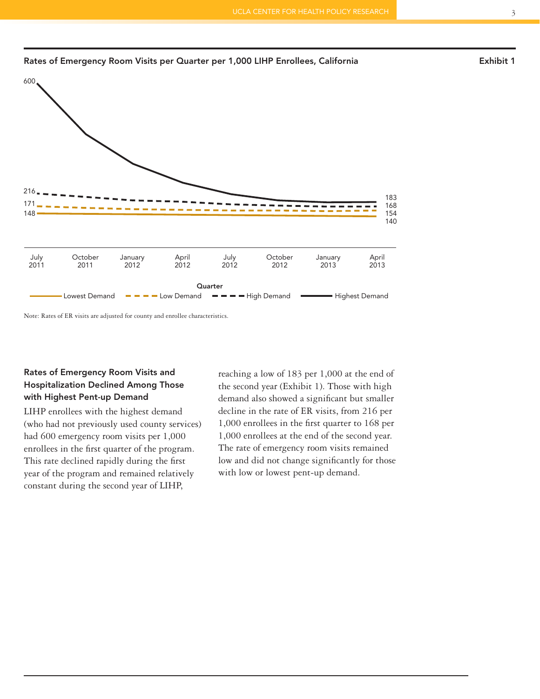

#### Rates of Emergency Room Visits per Quarter per 1,000 LIHP Enrollees, California **Exhibit 1** Exhibit 1

Note: Rates of ER visits are adjusted for county and enrollee characteristics.

# Rates of Emergency Room Visits and Hospitalization Declined Among Those with Highest Pent-up Demand

LIHP enrollees with the highest demand (who had not previously used county services) had 600 emergency room visits per 1,000 enrollees in the first quarter of the program. This rate declined rapidly during the first year of the program and remained relatively constant during the second year of LIHP,

reaching a low of 183 per 1,000 at the end of the second year (Exhibit 1). Those with high demand also showed a significant but smaller decline in the rate of ER visits, from 216 per 1,000 enrollees in the first quarter to 168 per 1,000 enrollees at the end of the second year. The rate of emergency room visits remained low and did not change significantly for those with low or lowest pent-up demand.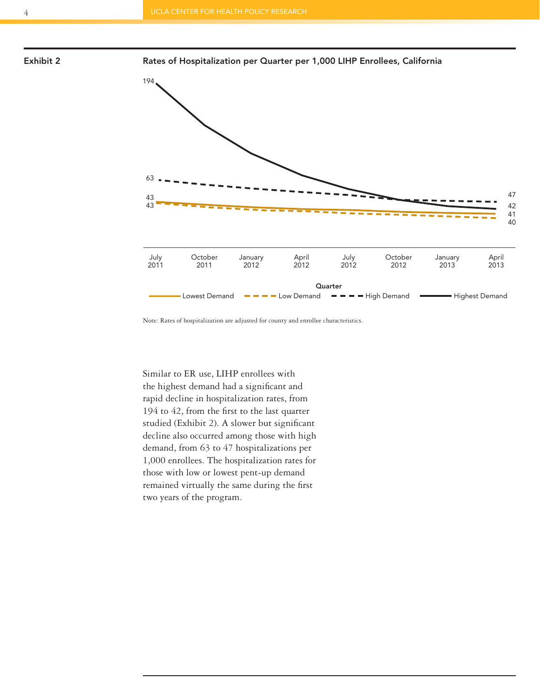

Exhibit 2 Rates of Hospitalization per Quarter per 1,000 LIHP Enrollees, California



Note: Rates of hospitalization are adjusted for county and enrollee characteristics.

Similar to ER use, LIHP enrollees with the highest demand had a significant and rapid decline in hospitalization rates, from 194 to 42, from the first to the last quarter studied (Exhibit 2). A slower but significant decline also occurred among those with high demand, from 63 to 47 hospitalizations per 1,000 enrollees. The hospitalization rates for those with low or lowest pent-up demand remained virtually the same during the first two years of the program.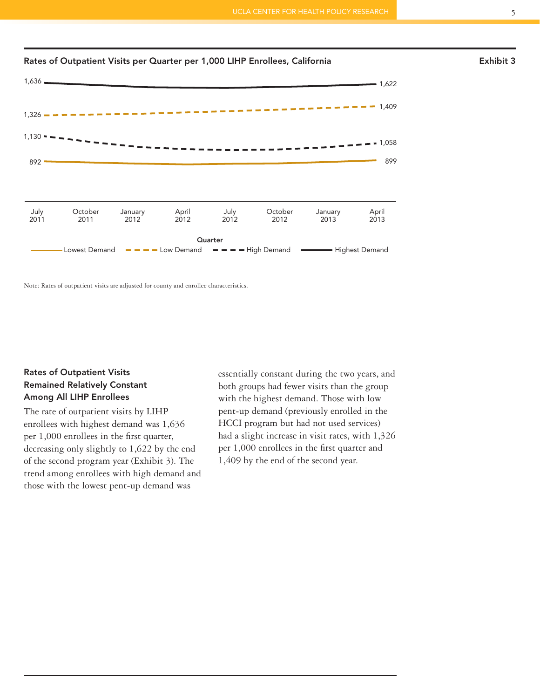

Note: Rates of outpatient visits are adjusted for county and enrollee characteristics.

## Rates of Outpatient Visits Remained Relatively Constant Among All LIHP Enrollees

The rate of outpatient visits by LIHP enrollees with highest demand was 1,636 per 1,000 enrollees in the first quarter, decreasing only slightly to 1,622 by the end of the second program year (Exhibit 3). The trend among enrollees with high demand and those with the lowest pent-up demand was

essentially constant during the two years, and both groups had fewer visits than the group with the highest demand. Those with low pent-up demand (previously enrolled in the HCCI program but had not used services) had a slight increase in visit rates, with 1,326 per 1,000 enrollees in the first quarter and 1,409 by the end of the second year.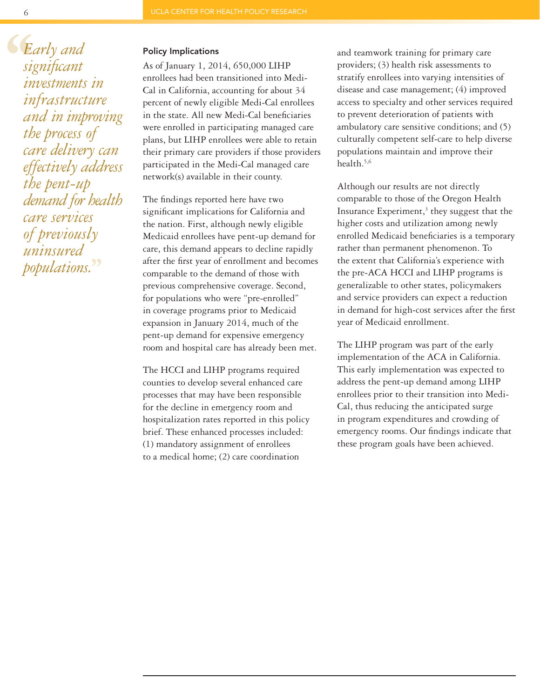**S**<br>  $E_i$ <br>  $\frac{size}{in}$ <br>  $\frac{sin}{in}$ *Early and significant investments in infrastructure and in improving the process of care delivery can effectively address the pent-up demand for health care services of previously uninsured populations.***''**

#### Policy Implications

As of January 1, 2014, 650,000 LIHP enrollees had been transitioned into Medi-Cal in California, accounting for about 34 percent of newly eligible Medi-Cal enrollees in the state. All new Medi-Cal beneficiaries were enrolled in participating managed care plans, but LIHP enrollees were able to retain their primary care providers if those providers participated in the Medi-Cal managed care network(s) available in their county.

The findings reported here have two significant implications for California and the nation. First, although newly eligible Medicaid enrollees have pent-up demand for care, this demand appears to decline rapidly after the first year of enrollment and becomes comparable to the demand of those with previous comprehensive coverage. Second, for populations who were "pre-enrolled" in coverage programs prior to Medicaid expansion in January 2014, much of the pent-up demand for expensive emergency room and hospital care has already been met.

The HCCI and LIHP programs required counties to develop several enhanced care processes that may have been responsible for the decline in emergency room and hospitalization rates reported in this policy brief. These enhanced processes included: (1) mandatory assignment of enrollees to a medical home; (2) care coordination

and teamwork training for primary care providers; (3) health risk assessments to stratify enrollees into varying intensities of disease and case management; (4) improved access to specialty and other services required to prevent deterioration of patients with ambulatory care sensitive conditions; and (5) culturally competent self-care to help diverse populations maintain and improve their health.5,6

Although our results are not directly comparable to those of the Oregon Health Insurance Experiment, $3$  they suggest that the higher costs and utilization among newly enrolled Medicaid beneficiaries is a temporary rather than permanent phenomenon. To the extent that California's experience with the pre-ACA HCCI and LIHP programs is generalizable to other states, policymakers and service providers can expect a reduction in demand for high-cost services after the first year of Medicaid enrollment.

The LIHP program was part of the early implementation of the ACA in California. This early implementation was expected to address the pent-up demand among LIHP enrollees prior to their transition into Medi-Cal, thus reducing the anticipated surge in program expenditures and crowding of emergency rooms. Our findings indicate that these program goals have been achieved.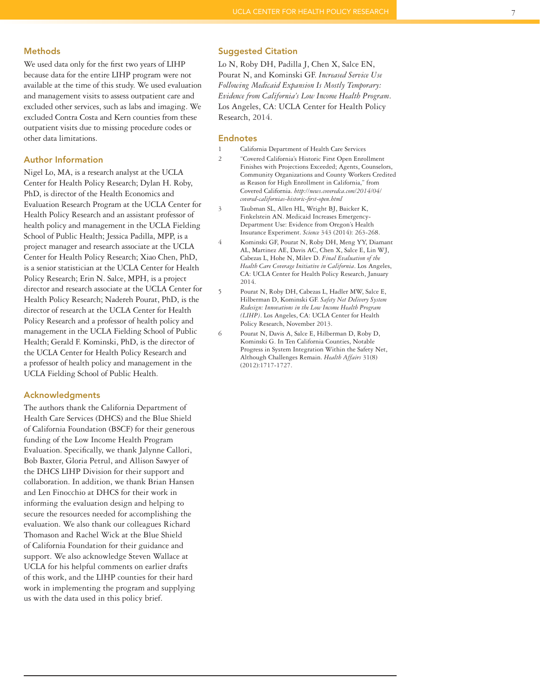#### **Methods**

We used data only for the first two years of LIHP because data for the entire LIHP program were not available at the time of this study. We used evaluation and management visits to assess outpatient care and excluded other services, such as labs and imaging. We excluded Contra Costa and Kern counties from these outpatient visits due to missing procedure codes or other data limitations.

#### Author Information

Nigel Lo, MA, is a research analyst at the UCLA Center for Health Policy Research; Dylan H. Roby, PhD, is director of the Health Economics and Evaluation Research Program at the UCLA Center for Health Policy Research and an assistant professor of health policy and management in the UCLA Fielding School of Public Health; Jessica Padilla, MPP, is a project manager and research associate at the UCLA Center for Health Policy Research; Xiao Chen, PhD, is a senior statistician at the UCLA Center for Health Policy Research; Erin N. Salce, MPH, is a project director and research associate at the UCLA Center for Health Policy Research; Nadereh Pourat, PhD, is the director of research at the UCLA Center for Health Policy Research and a professor of health policy and management in the UCLA Fielding School of Public Health; Gerald F. Kominski, PhD, is the director of the UCLA Center for Health Policy Research and a professor of health policy and management in the UCLA Fielding School of Public Health.

#### Acknowledgments

The authors thank the California Department of Health Care Services (DHCS) and the Blue Shield of California Foundation (BSCF) for their generous funding of the Low Income Health Program Evaluation. Specifically, we thank Jalynne Callori, Bob Baxter, Gloria Petrul, and Allison Sawyer of the DHCS LIHP Division for their support and collaboration. In addition, we thank Brian Hansen and Len Finocchio at DHCS for their work in informing the evaluation design and helping to secure the resources needed for accomplishing the evaluation. We also thank our colleagues Richard Thomason and Rachel Wick at the Blue Shield of California Foundation for their guidance and support. We also acknowledge Steven Wallace at UCLA for his helpful comments on earlier drafts of this work, and the LIHP counties for their hard work in implementing the program and supplying us with the data used in this policy brief.

#### Suggested Citation

Lo N, Roby DH, Padilla J, Chen X, Salce EN, Pourat N, and Kominski GF. *Increased Service Use Following Medicaid Expansion Is Mostly Temporary: Evidence from California's Low Income Health Program*. Los Angeles, CA: UCLA Center for Health Policy Research, 2014.

#### Endnotes

- 1 California Department of Health Care Services
- 2 "Covered California's Historic First Open Enrollment Finishes with Projections Exceeded; Agents, Counselors, Community Organizations and County Workers Credited as Reason for High Enrollment in California," from Covered California. *http://news.coveredca.com/2014/04/ covered-californias-historic-first-open.html*
- 3 Taubman SL, Allen HL, Wright BJ, Baicker K, Finkelstein AN. Medicaid Increases Emergency-Department Use: Evidence from Oregon's Health Insurance Experiment. *Science* 343 (2014): 263-268.
- 4 Kominski GF, Pourat N, Roby DH, Meng YY, Diamant AL, Martinez AE, Davis AC, Chen X, Salce E, Lin WJ, Cabezas L, Hohe N, Milev D. *Final Evaluation of the Health Care Coverage Initiative in California*. Los Angeles, CA: UCLA Center for Health Policy Research, January 2014.
- 5 Pourat N, Roby DH, Cabezas L, Hadler MW, Salce E, Hilberman D, Kominski GF. *Safety Net Delivery System Redesign: Innovations in the Low Income Health Program (LIHP)*. Los Angeles, CA: UCLA Center for Health Policy Research, November 2013.
- 6 Pourat N, Davis A, Salce E, Hilberman D, Roby D, Kominski G. In Ten California Counties, Notable Progress in System Integration Within the Safety Net, Although Challenges Remain. *Health Affairs* 31(8) (2012):1717-1727.